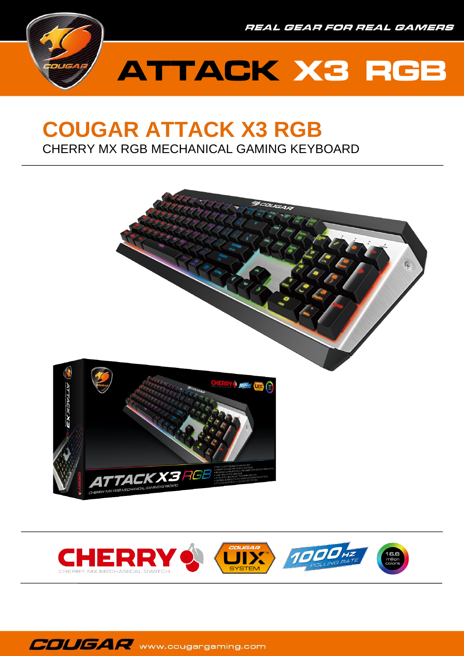



## **COUGAR ATTACK X3 RGB** CHERRY MX RGB MECHANICAL GAMING KEYBOARD





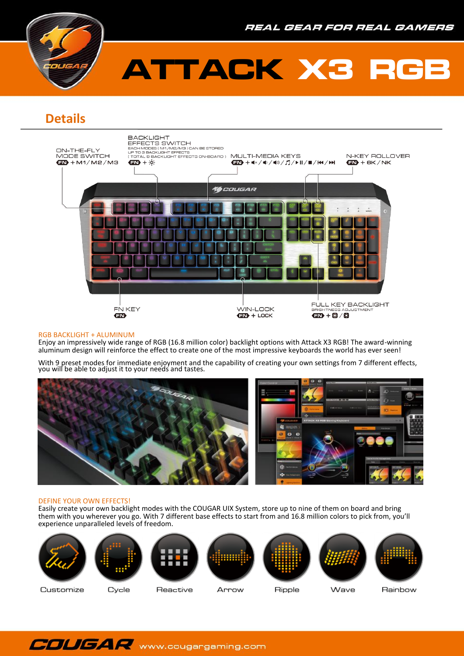

# **ATTACK X3 RGB**

## **Details**



#### RGB BACKLIGHT + ALUMINUM

Enjoy an impressively wide range of RGB (16.8 million color) backlight options with Attack X3 RGB! The award-winning aluminum design will reinforce the effect to create one of the most impressive keyboards the world has ever seen!

With 9 preset modes for immediate enjoyment and the capability of creating your own settings from 7 different effects, you will be able to adjust it to your needs and tastes.



### DEFINE YOUR OWN EFFECTS!

Easily create your own backlight modes with the COUGAR UIX System, store up to nine of them on board and bring them with you wherever you go. With 7 different base effects to start from and 16.8 million colors to pick from, you'll experience unparalleled levels of freedom.













Customize

Cycle

Reactive

Ripple

Wave

Rainbow

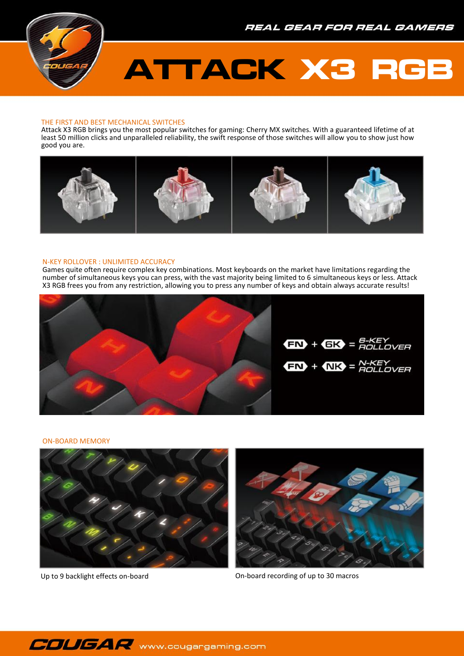# **ATTACK X3 RGB**

### THE FIRST AND BEST MECHANICAL SWITCHES

Attack X3 RGB brings you the most popular switches for gaming: Cherry MX switches. With a guaranteed lifetime of at least 50 million clicks and unparalleled reliability, the swift response of those switches will allow you to show just how good you are.



#### N-KEY ROLLOVER : UNLIMITED ACCURACY

Games quite often require complex key combinations. Most keyboards on the market have limitations regarding the number of simultaneous keys you can press, with the vast majority being limited to 6 simultaneous keys or less. Attack X3 RGB frees you from any restriction, allowing you to press any number of keys and obtain always accurate results!



#### ON-BOARD MEMORY





Up to 9 backlight effects on-board **On-board recording of up to 30 macros** 

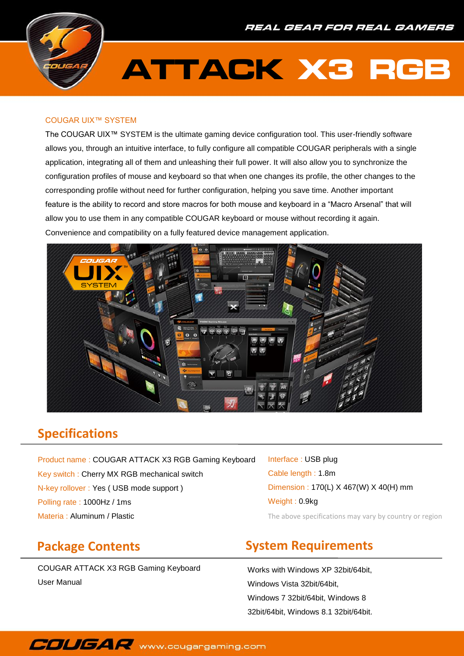

# **ATTACK X3 RGB**

### COUGAR UIX™ SYSTEM

The COUGAR UIX™ SYSTEM is the ultimate gaming device configuration tool. This user-friendly software allows you, through an intuitive interface, to fully configure all compatible COUGAR peripherals with a single application, integrating all of them and unleashing their full power. It will also allow you to synchronize the configuration profiles of mouse and keyboard so that when one changes its profile, the other changes to the corresponding profile without need for further configuration, helping you save time. Another important feature is the ability to record and store macros for both mouse and keyboard in a "Macro Arsenal" that will allow you to use them in any compatible COUGAR keyboard or mouse without recording it again. Convenience and compatibility on a fully featured device management application.



### **Specifications**

Product name : COUGAR ATTACK X3 RGB Gaming Keyboard Key switch : Cherry MX RGB mechanical switch N-key rollover : Yes ( USB mode support ) Polling rate : 1000Hz / 1ms Materia : Aluminum / Plastic The above specifications may vary by country or region

Interface : USB plug Cable length : 1.8m Dimension : 170(L) X 467(W) X 40(H) mm Weight : 0.9kg

### **Package Contents**

COUGAR ATTACK X3 RGB Gaming Keyboard User Manual

## **System Requirements**

Works with Windows XP 32bit/64bit, Windows Vista 32bit/64bit, Windows 7 32bit/64bit, Windows 8 32bit/64bit, Windows 8.1 32bit/64bit.